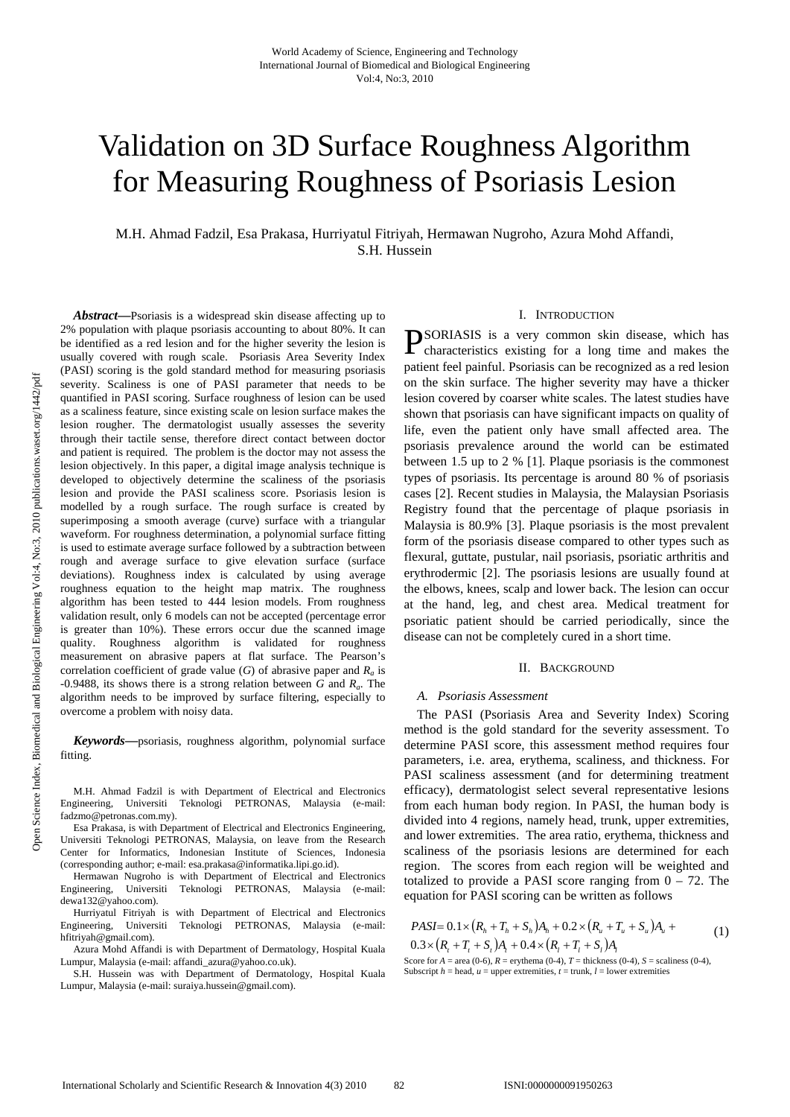# Validation on 3D Surface Roughness Algorithm for Measuring Roughness of Psoriasis Lesion

M.H. Ahmad Fadzil, Esa Prakasa, Hurriyatul Fitriyah, Hermawan Nugroho, Azura Mohd Affandi, S.H. Hussein

*Abstract***—**Psoriasis is a widespread skin disease affecting up to 2% population with plaque psoriasis accounting to about 80%. It can be identified as a red lesion and for the higher severity the lesion is usually covered with rough scale. Psoriasis Area Severity Index (PASI) scoring is the gold standard method for measuring psoriasis severity. Scaliness is one of PASI parameter that needs to be quantified in PASI scoring. Surface roughness of lesion can be used as a scaliness feature, since existing scale on lesion surface makes the lesion rougher. The dermatologist usually assesses the severity through their tactile sense, therefore direct contact between doctor and patient is required. The problem is the doctor may not assess the lesion objectively. In this paper, a digital image analysis technique is developed to objectively determine the scaliness of the psoriasis lesion and provide the PASI scaliness score. Psoriasis lesion is modelled by a rough surface. The rough surface is created by superimposing a smooth average (curve) surface with a triangular waveform. For roughness determination, a polynomial surface fitting is used to estimate average surface followed by a subtraction between rough and average surface to give elevation surface (surface deviations). Roughness index is calculated by using average roughness equation to the height map matrix. The roughness algorithm has been tested to 444 lesion models. From roughness validation result, only 6 models can not be accepted (percentage error is greater than 10%). These errors occur due the scanned image quality. Roughness algorithm is validated for roughness measurement on abrasive papers at flat surface. The Pearson's correlation coefficient of grade value  $(G)$  of abrasive paper and  $R<sub>a</sub>$  is -0.9488, its shows there is a strong relation between *G* and *Ra*. The algorithm needs to be improved by surface filtering, especially to overcome a problem with noisy data.

*Keywords***—**psoriasis, roughness algorithm, polynomial surface fitting.

M.H. Ahmad Fadzil is with Department of Electrical and Electronics Engineering, Universiti Teknologi PETRONAS, Malaysia (e-mail: fadzmo@petronas.com.my).

Esa Prakasa, is with Department of Electrical and Electronics Engineering, Universiti Teknologi PETRONAS, Malaysia, on leave from the Research Center for Informatics, Indonesian Institute of Sciences, Indonesia (corresponding author; e-mail: esa.prakasa@informatika.lipi.go.id).

Hermawan Nugroho is with Department of Electrical and Electronics Engineering, Universiti Teknologi PETRONAS, Malaysia (e-mail: dewa132@yahoo.com).

Hurriyatul Fitriyah is with Department of Electrical and Electronics Engineering, Universiti Teknologi PETRONAS, Malaysia (e-mail: hfitriyah@gmail.com).

Azura Mohd Affandi is with Department of Dermatology, Hospital Kuala Lumpur, Malaysia (e-mail: affandi\_azura@yahoo.co.uk).

S.H. Hussein was with Department of Dermatology, Hospital Kuala Lumpur, Malaysia (e-mail: suraiya.hussein@gmail.com).

## I. INTRODUCTION

SORIASIS is a very common skin disease, which has PSORIASIS is a very common skin disease, which has characteristics existing for a long time and makes the patient feel painful. Psoriasis can be recognized as a red lesion on the skin surface. The higher severity may have a thicker lesion covered by coarser white scales. The latest studies have shown that psoriasis can have significant impacts on quality of life, even the patient only have small affected area. The psoriasis prevalence around the world can be estimated between 1.5 up to 2 % [1]. Plaque psoriasis is the commonest types of psoriasis. Its percentage is around 80 % of psoriasis cases [2]. Recent studies in Malaysia, the Malaysian Psoriasis Registry found that the percentage of plaque psoriasis in Malaysia is 80.9% [3]. Plaque psoriasis is the most prevalent form of the psoriasis disease compared to other types such as flexural, guttate, pustular, nail psoriasis, psoriatic arthritis and erythrodermic [2]. The psoriasis lesions are usually found at the elbows, knees, scalp and lower back. The lesion can occur at the hand, leg, and chest area. Medical treatment for psoriatic patient should be carried periodically, since the disease can not be completely cured in a short time.

#### II. BACKGROUND

## *A. Psoriasis Assessment*

The PASI (Psoriasis Area and Severity Index) Scoring method is the gold standard for the severity assessment. To determine PASI score, this assessment method requires four parameters, i.e. area, erythema, scaliness, and thickness. For PASI scaliness assessment (and for determining treatment efficacy), dermatologist select several representative lesions from each human body region. In PASI, the human body is divided into 4 regions, namely head, trunk, upper extremities, and lower extremities. The area ratio, erythema, thickness and scaliness of the psoriasis lesions are determined for each region. The scores from each region will be weighted and totalized to provide a PASI score ranging from  $0 - 72$ . The equation for PASI scoring can be written as follows

$$
PASI = 0.1 \times (R_h + T_h + S_h)A_h + 0.2 \times (R_u + T_u + S_u)A_u + 0.3 \times (R_t + T_t + S_t)A_t + 0.4 \times (R_l + T_t + S_t)A_t
$$
\n(1)

Score for  $A = \text{area } (0.6)$ ,  $R = \text{erythema } (0.4)$ ,  $T = \text{thickness } (0.4)$ ,  $S = \text{scaliness } (0.4)$ , Subscript  $h$  = head,  $u$  = upper extremities,  $t$  = trunk,  $l$  = lower extremities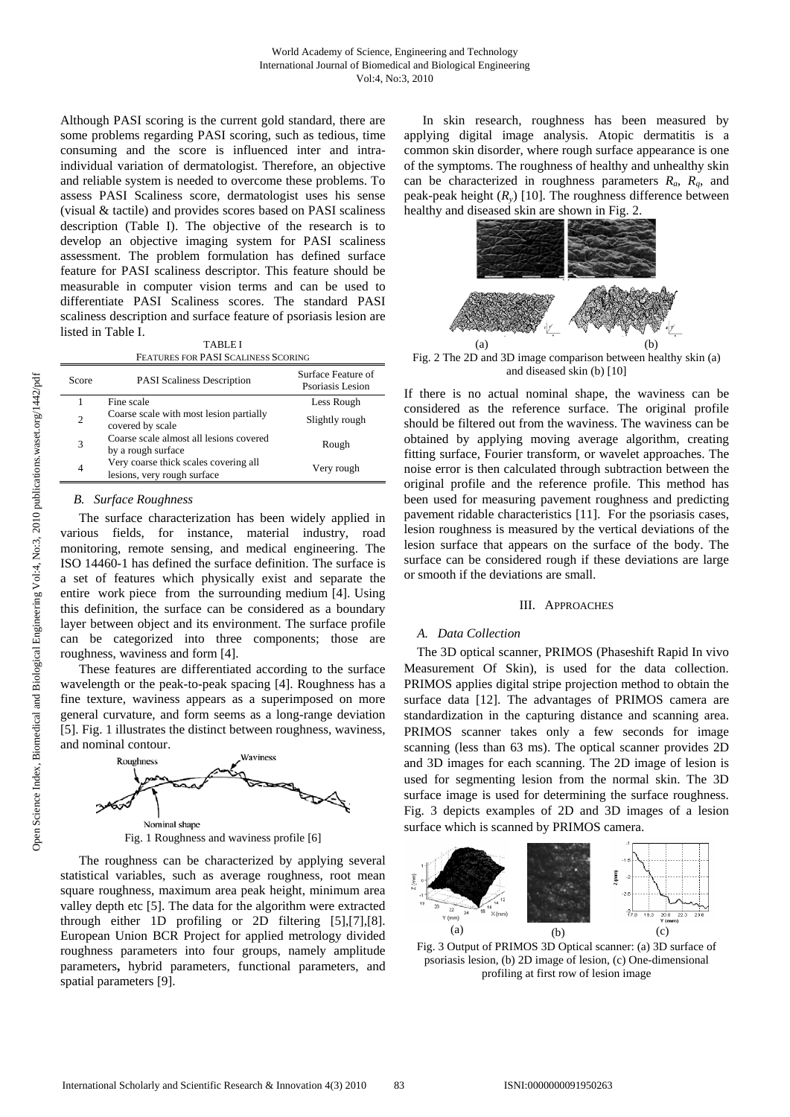Although PASI scoring is the current gold standard, there are some problems regarding PASI scoring, such as tedious, time consuming and the score is influenced inter and intraindividual variation of dermatologist. Therefore, an objective and reliable system is needed to overcome these problems. To assess PASI Scaliness score, dermatologist uses his sense (visual & tactile) and provides scores based on PASI scaliness description (Table I). The objective of the research is to develop an objective imaging system for PASI scaliness assessment. The problem formulation has defined surface feature for PASI scaliness descriptor. This feature should be measurable in computer vision terms and can be used to differentiate PASI Scaliness scores. The standard PASI scaliness description and surface feature of psoriasis lesion are listed in Table I.

TABLE I FEATURES FOR PASI SCALINESS SCORING

| Score          | <b>PASI</b> Scaliness Description                                    | Surface Feature of<br>Psoriasis Lesion |
|----------------|----------------------------------------------------------------------|----------------------------------------|
|                | Fine scale                                                           | Less Rough                             |
| $\overline{c}$ | Coarse scale with most lesion partially<br>covered by scale          | Slightly rough                         |
| 3              | Coarse scale almost all lesions covered<br>by a rough surface        | Rough                                  |
| $\overline{4}$ | Very coarse thick scales covering all<br>lesions, very rough surface | Very rough                             |

## *B. Surface Roughness*

The surface characterization has been widely applied in various fields, for instance, material industry, road monitoring, remote sensing, and medical engineering. The ISO 14460-1 has defined the surface definition. The surface is a set of features which physically exist and separate the entire work piece from the surrounding medium [4]. Using this definition, the surface can be considered as a boundary layer between object and its environment. The surface profile can be categorized into three components; those are roughness, waviness and form [4].

These features are differentiated according to the surface wavelength or the peak-to-peak spacing [4]. Roughness has a fine texture, waviness appears as a superimposed on more general curvature, and form seems as a long-range deviation [5]. Fig. 1 illustrates the distinct between roughness, waviness, and nominal contour.



The roughness can be characterized by applying several statistical variables, such as average roughness, root mean square roughness, maximum area peak height, minimum area valley depth etc [5]. The data for the algorithm were extracted through either 1D profiling or 2D filtering [5],[7],[8]. European Union BCR Project for applied metrology divided roughness parameters into four groups, namely amplitude parameters**,** hybrid parameters, functional parameters, and spatial parameters [9].

In skin research, roughness has been measured by applying digital image analysis. Atopic dermatitis is a common skin disorder, where rough surface appearance is one of the symptoms. The roughness of healthy and unhealthy skin can be characterized in roughness parameters *Ra*, *Rq*, and peak-peak height  $(R_y)$  [10]. The roughness difference between healthy and diseased skin are shown in Fig. 2.



Fig. 2 The 2D and 3D image comparison between healthy skin (a) and diseased skin (b) [10]

If there is no actual nominal shape, the waviness can be considered as the reference surface. The original profile should be filtered out from the waviness. The waviness can be obtained by applying moving average algorithm, creating fitting surface, Fourier transform, or wavelet approaches. The noise error is then calculated through subtraction between the original profile and the reference profile. This method has been used for measuring pavement roughness and predicting pavement ridable characteristics [11]. For the psoriasis cases, lesion roughness is measured by the vertical deviations of the lesion surface that appears on the surface of the body. The surface can be considered rough if these deviations are large or smooth if the deviations are small.

#### III. APPROACHES

#### *A. Data Collection*

The 3D optical scanner, PRIMOS (Phaseshift Rapid In vivo Measurement Of Skin), is used for the data collection. PRIMOS applies digital stripe projection method to obtain the surface data [12]. The advantages of PRIMOS camera are standardization in the capturing distance and scanning area. PRIMOS scanner takes only a few seconds for image scanning (less than 63 ms). The optical scanner provides 2D and 3D images for each scanning. The 2D image of lesion is used for segmenting lesion from the normal skin. The 3D surface image is used for determining the surface roughness. Fig. 3 depicts examples of 2D and 3D images of a lesion surface which is scanned by PRIMOS camera.



Fig. 3 Output of PRIMOS 3D Optical scanner: (a) 3D surface of psoriasis lesion, (b) 2D image of lesion, (c) One-dimensional profiling at first row of lesion image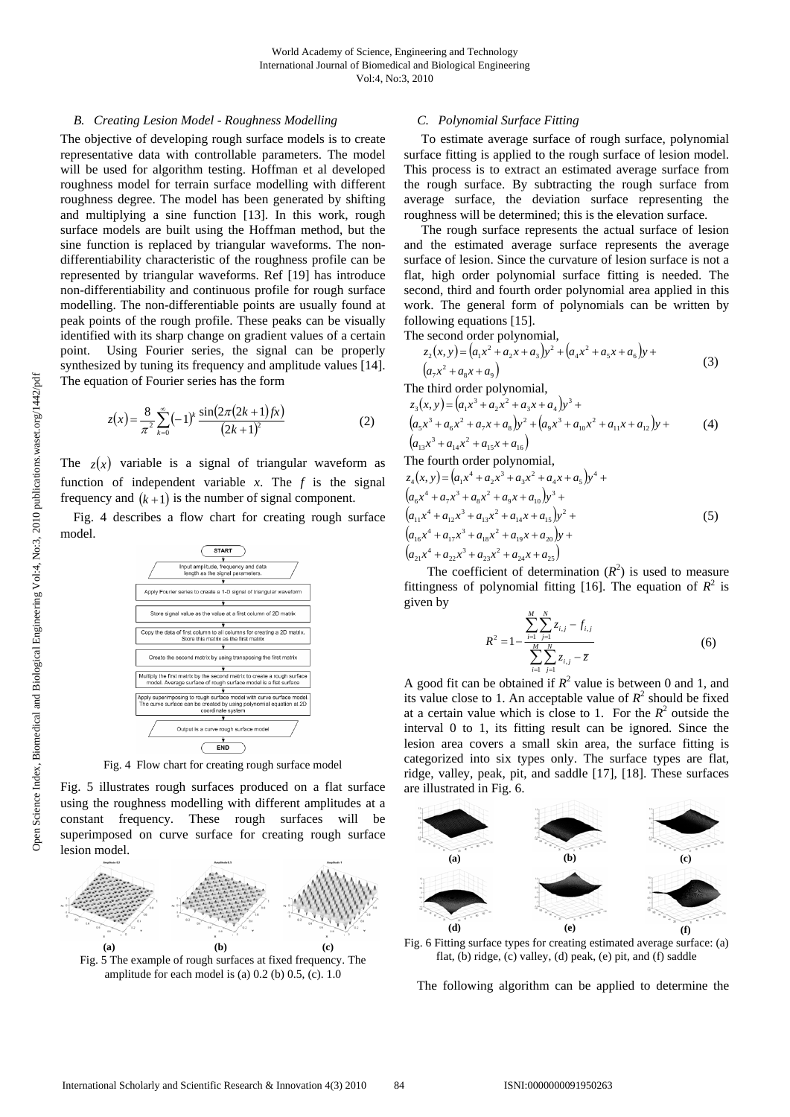## *B. Creating Lesion Model - Roughness Modelling*

The objective of developing rough surface models is to create representative data with controllable parameters. The model will be used for algorithm testing. Hoffman et al developed roughness model for terrain surface modelling with different roughness degree. The model has been generated by shifting and multiplying a sine function [13]. In this work, rough surface models are built using the Hoffman method, but the sine function is replaced by triangular waveforms. The nondifferentiability characteristic of the roughness profile can be represented by triangular waveforms. Ref [19] has introduce non-differentiability and continuous profile for rough surface modelling. The non-differentiable points are usually found at peak points of the rough profile. These peaks can be visually identified with its sharp change on gradient values of a certain point. Using Fourier series, the signal can be properly synthesized by tuning its frequency and amplitude values [14]. The equation of Fourier series has the form

$$
z(x) = \frac{8}{\pi^2} \sum_{k=0}^{\infty} (-1)^k \frac{\sin(2\pi (2k+1) f x)}{(2k+1)^2}
$$
 (2)

The  $z(x)$  variable is a signal of triangular waveform as function of independent variable  $x$ . The  $f$  is the signal frequency and  $(k+1)$  is the number of signal component.

Fig. 4 describes a flow chart for creating rough surface model.



Fig. 4 Flow chart for creating rough surface model

Fig. 5 illustrates rough surfaces produced on a flat surface using the roughness modelling with different amplitudes at a constant frequency. These rough surfaces will be superimposed on curve surface for creating rough surface lesion model.



Fig. 5 The example of rough surfaces at fixed frequency. The amplitude for each model is (a)  $0.2$  (b)  $0.5$ , (c).  $1.0$ 

## *C. Polynomial Surface Fitting*

To estimate average surface of rough surface, polynomial surface fitting is applied to the rough surface of lesion model. This process is to extract an estimated average surface from the rough surface. By subtracting the rough surface from average surface, the deviation surface representing the roughness will be determined; this is the elevation surface.

The rough surface represents the actual surface of lesion and the estimated average surface represents the average surface of lesion. Since the curvature of lesion surface is not a flat, high order polynomial surface fitting is needed. The second, third and fourth order polynomial area applied in this work. The general form of polynomials can be written by following equations [15].

The second order polynomial,

$$
z_2(x, y) = (a_1x^2 + a_2x + a_3)y^2 + (a_4x^2 + a_5x + a_6)y + (a_7x^2 + a_8x + a_9)
$$
\n(3)

The third order polynomial,

$$
z_3(x, y) = (a_1x^3 + a_2x^2 + a_3x + a_4)y^3 + (a_5x^3 + a_6x^2 + a_7x + a_8)y^2 + (a_9x^3 + a_{10}x^2 + a_{11}x + a_{12})y + (a_{13}x^3 + a_{14}x^2 + a_{15}x + a_{16})
$$
\n(4)

The fourth order polynomial,  
\n
$$
z_4(x, y) = (a_1x^4 + a_2x^3 + a_3x^2 + a_4x + a_5)y^4 + (a_6x^4 + a_7x^3 + a_8x^2 + a_9x + a_{10})y^3 + (a_{11}x^4 + a_{12}x^3 + a_{13}x^2 + a_{14}x + a_{15})y^2 + (a_{16}x^4 + a_{17}x^3 + a_{18}x^2 + a_{19}x + a_{20})y + (a_{21}x^4 + a_{22}x^3 + a_{23}x^2 + a_{24}x + a_{25})
$$
\n(5)

The coefficient of determination  $(R^2)$  is used to measure fittingness of polynomial fitting [16]. The equation of  $R^2$  is given by

$$
R^{2} = 1 - \frac{\sum_{i=1}^{M} \sum_{j=1}^{N} z_{i,j} - f_{i,j}}{\sum_{i=1}^{M} \sum_{j=1}^{N} z_{i,j} - \overline{z}}
$$
(6)

A good fit can be obtained if  $R^2$  value is between 0 and 1, and its value close to 1. An acceptable value of  $R^2$  should be fixed at a certain value which is close to 1. For the  $R^2$  outside the interval 0 to 1, its fitting result can be ignored. Since the lesion area covers a small skin area, the surface fitting is categorized into six types only. The surface types are flat, ridge, valley, peak, pit, and saddle [17], [18]. These surfaces are illustrated in Fig. 6.



Fig. 6 Fitting surface types for creating estimated average surface: (a) flat, (b) ridge, (c) valley, (d) peak, (e) pit, and (f) saddle

The following algorithm can be applied to determine the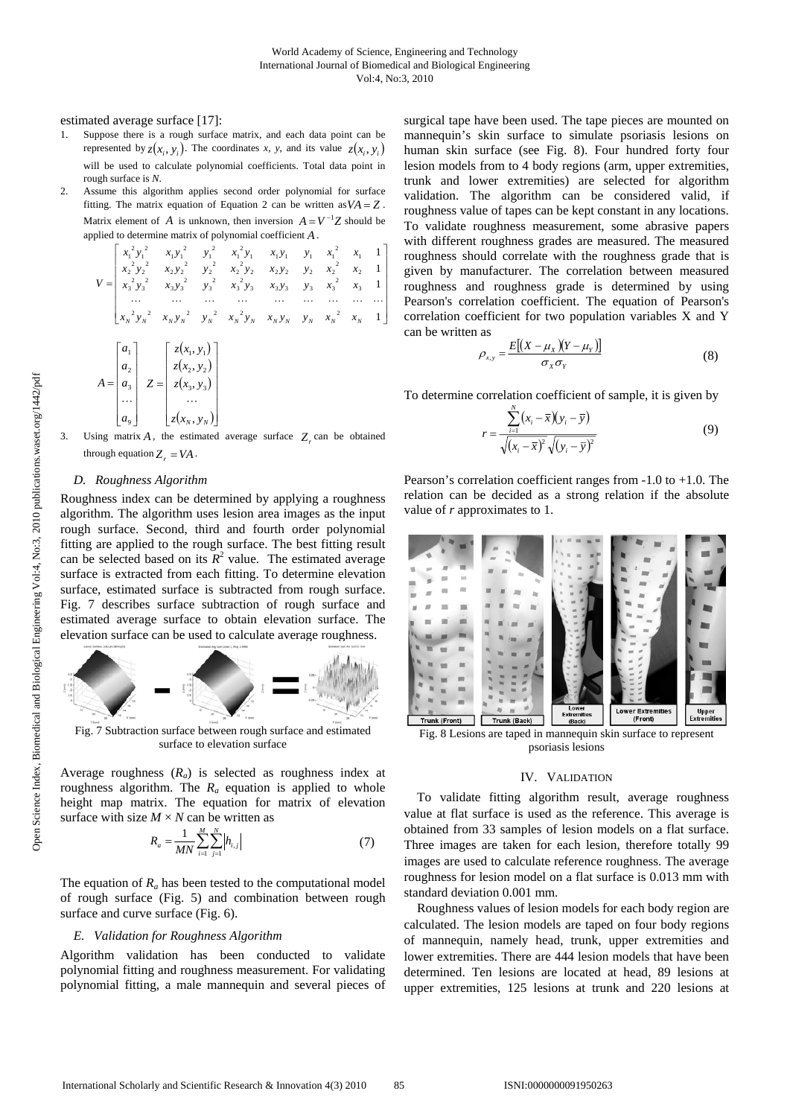estimated average surface [17]:

- 1. Suppose there is a rough surface matrix, and each data point can be represented by  $z(x_i, y_i)$ . The coordinates *x*, *y*, and its value  $z(x_i, y_i)$ will be used to calculate polynomial coefficients. Total data point in rough surface is *N*.
- 2. Assume this algorithm applies second order polynomial for surface fitting. The matrix equation of Equation 2 can be written as  $VA = Z$ . Matrix element of *A* is unknown, then inversion  $A = V^{-1}Z$  should be applied to determine matrix of polynomial coefficient *A* .

$$
V = \begin{bmatrix} x_1^2 y_1^2 & x_1 y_1^2 & y_1^2 & x_1^2 y_1 & x_1 y_1 & y_1 & x_1^2 & x_1 & 1 \\ x_2^2 y_2^2 & x_2 y_2^2 & y_2^2 & x_2^2 y_2 & x_2 y_2 & y_2 & x_2^2 & x_2 & 1 \\ x_3^2 y_3^2 & x_3 y_3^2 & y_3^2 & x_3^2 y_3 & x_3 y_3 & y_3 & x_3^2 & x_3 & 1 \\ \cdots & \cdots & \cdots & \cdots & \cdots & \cdots & \cdots & \cdots & \cdots \\ x_N^2 y_N^2 & x_N y_N^2 & y_N^2 & x_N^2 y_N & x_N y_N & y_N & x_N^2 & x_N & 1 \end{bmatrix}
$$
  

$$
A = \begin{bmatrix} a_1 \\ a_2 \\ a_3 \\ a_3 \\ \vdots \\ a_n \end{bmatrix} \quad Z = \begin{bmatrix} z(x_1, y_1) \\ z(x_2, y_2) \\ z(x_3, y_3) \\ \vdots \\ z(x_n, y_n) \end{bmatrix}
$$

$$
\begin{bmatrix} a_9 \end{bmatrix} \begin{bmatrix} z(x_N, y_N) \end{bmatrix}
$$
  
3. Using matrix *A*, the estimated average surface *Z<sub>r</sub>* can be obtained through equation *Z<sub>r</sub>* = *VA*.

 $(x_{N}, y_{N})$ 

#### *D. Roughness Algorithm*

 $\overline{\phantom{a}}$ 

 $\mathsf I$ 

Roughness index can be determined by applying a roughness algorithm. The algorithm uses lesion area images as the input rough surface. Second, third and fourth order polynomial fitting are applied to the rough surface. The best fitting result can be selected based on its  $R^2$  value. The estimated average surface is extracted from each fitting. To determine elevation surface, estimated surface is subtracted from rough surface. Fig. 7 describes surface subtraction of rough surface and estimated average surface to obtain elevation surface. The elevation surface can be used to calculate average roughness.



Fig. 7 Subtraction surface between rough surface and estimated surface to elevation surface

Average roughness (*Ra*) is selected as roughness index at roughness algorithm. The  $R_a$  equation is applied to whole height map matrix. The equation for matrix of elevation surface with size  $M \times N$  can be written as

$$
R_a = \frac{1}{MN} \sum_{i=1}^{M} \sum_{j=1}^{N} |h_{i,j}|
$$
 (7)

The equation of  $R_a$  has been tested to the computational model of rough surface (Fig. 5) and combination between rough surface and curve surface (Fig. 6).

## *E. Validation for Roughness Algorithm*

Algorithm validation has been conducted to validate polynomial fitting and roughness measurement. For validating polynomial fitting, a male mannequin and several pieces of surgical tape have been used. The tape pieces are mounted on mannequin's skin surface to simulate psoriasis lesions on human skin surface (see Fig. 8). Four hundred forty four lesion models from to 4 body regions (arm, upper extremities, trunk and lower extremities) are selected for algorithm validation. The algorithm can be considered valid, if roughness value of tapes can be kept constant in any locations. To validate roughness measurement, some abrasive papers with different roughness grades are measured. The measured roughness should correlate with the roughness grade that is given by manufacturer. The correlation between measured roughness and roughness grade is determined by using Pearson's correlation coefficient. The equation of Pearson's correlation coefficient for two population variables X and Y can be written as

$$
\rho_{x,y} = \frac{E[(X - \mu_X)(Y - \mu_Y)]}{\sigma_X \sigma_Y} \tag{8}
$$

To determine correlation coefficient of sample, it is given by

*r*

$$
=\frac{\sum_{i=1}^{N}(x_i-\overline{x})(y_i-\overline{y})}{\sqrt{(x_i-\overline{x})^2}\sqrt{(y_i-\overline{y})^2}}
$$
(9)

Pearson's correlation coefficient ranges from -1.0 to +1.0. The relation can be decided as a strong relation if the absolute value of *r* approximates to 1.



psoriasis lesions

#### IV. VALIDATION

To validate fitting algorithm result, average roughness value at flat surface is used as the reference. This average is obtained from 33 samples of lesion models on a flat surface. Three images are taken for each lesion, therefore totally 99 images are used to calculate reference roughness. The average roughness for lesion model on a flat surface is 0.013 mm with standard deviation 0.001 mm.

Roughness values of lesion models for each body region are calculated. The lesion models are taped on four body regions of mannequin, namely head, trunk, upper extremities and lower extremities. There are 444 lesion models that have been determined. Ten lesions are located at head, 89 lesions at upper extremities, 125 lesions at trunk and 220 lesions at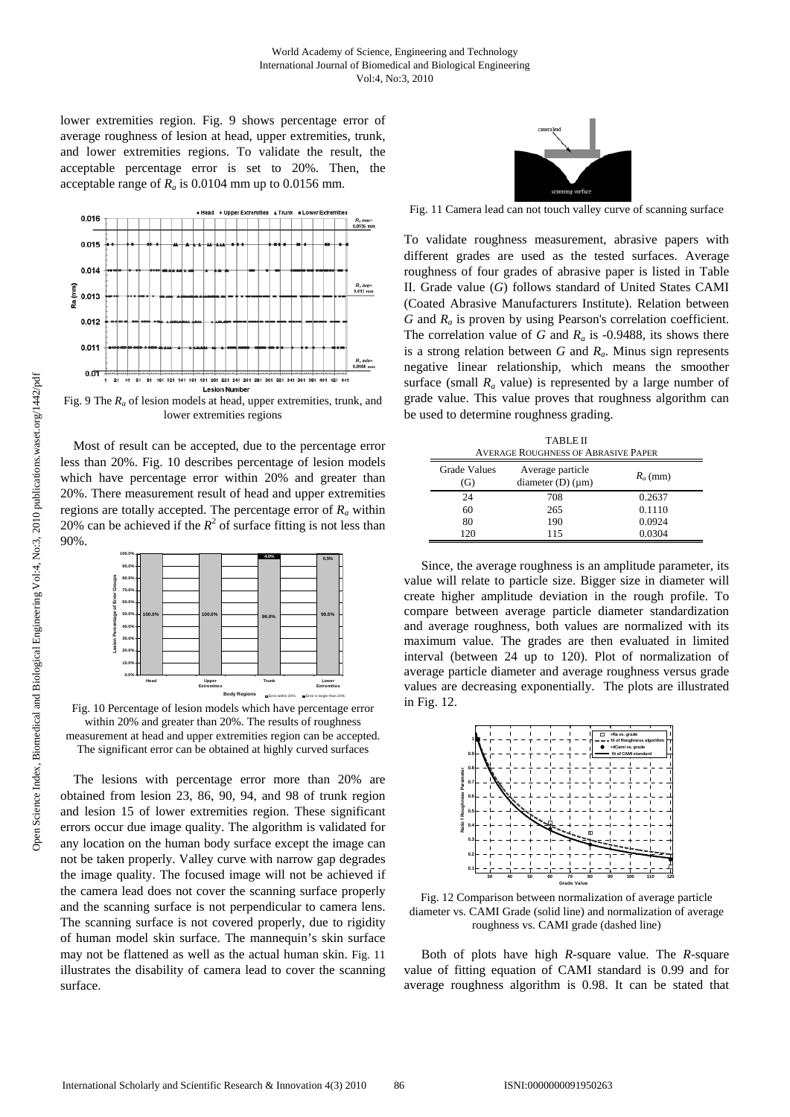lower extremities region. Fig. 9 shows percentage error of average roughness of lesion at head, upper extremities, trunk, and lower extremities regions. To validate the result, the acceptable percentage error is set to 20%. Then, the acceptable range of  $R_a$  is 0.0104 mm up to 0.0156 mm.



Fig. 9 The *Ra* of lesion models at head, upper extremities, trunk, and lower extremities regions

Most of result can be accepted, due to the percentage error less than 20%. Fig. 10 describes percentage of lesion models which have percentage error within 20% and greater than 20%. There measurement result of head and upper extremities regions are totally accepted. The percentage error of *Ra* within 20% can be achieved if the  $R^2$  of surface fitting is not less than 90%.



Fig. 10 Percentage of lesion models which have percentage error within 20% and greater than 20%. The results of roughness measurement at head and upper extremities region can be accepted. The significant error can be obtained at highly curved surfaces

The lesions with percentage error more than 20% are obtained from lesion 23, 86, 90, 94, and 98 of trunk region and lesion 15 of lower extremities region. These significant errors occur due image quality. The algorithm is validated for any location on the human body surface except the image can not be taken properly. Valley curve with narrow gap degrades the image quality. The focused image will not be achieved if the camera lead does not cover the scanning surface properly and the scanning surface is not perpendicular to camera lens. The scanning surface is not covered properly, due to rigidity of human model skin surface. The mannequin's skin surface may not be flattened as well as the actual human skin. Fig. 11 illustrates the disability of camera lead to cover the scanning surface.



Fig. 11 Camera lead can not touch valley curve of scanning surface

To validate roughness measurement, abrasive papers with different grades are used as the tested surfaces. Average roughness of four grades of abrasive paper is listed in Table II. Grade value (*G*) follows standard of United States CAMI (Coated Abrasive Manufacturers Institute). Relation between *G* and *Ra* is proven by using Pearson's correlation coefficient. The correlation value of *G* and  $R_a$  is -0.9488, its shows there is a strong relation between *G* and *Ra*. Minus sign represents negative linear relationship, which means the smoother surface (small  $R_a$  value) is represented by a large number of grade value. This value proves that roughness algorithm can be used to determine roughness grading.

TABLE II AVERAGE ROUGHNESS OF ABRASIVE PAPER

| <b>Grade Values</b><br>(G) | Average particle<br>diameter $(D)$ ( $\mu$ m) | $R_a$ (mm) |  |
|----------------------------|-----------------------------------------------|------------|--|
| 24                         | 708                                           | 0.2637     |  |
| 60                         | 265                                           | 0.1110     |  |
| 80                         | 190                                           | 0.0924     |  |
| 120                        | 115                                           | 0.0304     |  |

Since, the average roughness is an amplitude parameter, its value will relate to particle size. Bigger size in diameter will create higher amplitude deviation in the rough profile. To compare between average particle diameter standardization and average roughness, both values are normalized with its maximum value. The grades are then evaluated in limited interval (between 24 up to 120). Plot of normalization of average particle diameter and average roughness versus grade values are decreasing exponentially. The plots are illustrated in Fig. 12.



Fig. 12 Comparison between normalization of average particle diameter vs. CAMI Grade (solid line) and normalization of average roughness vs. CAMI grade (dashed line)

Both of plots have high *R*-square value. The *R*-square value of fitting equation of CAMI standard is 0.99 and for average roughness algorithm is 0.98. It can be stated that